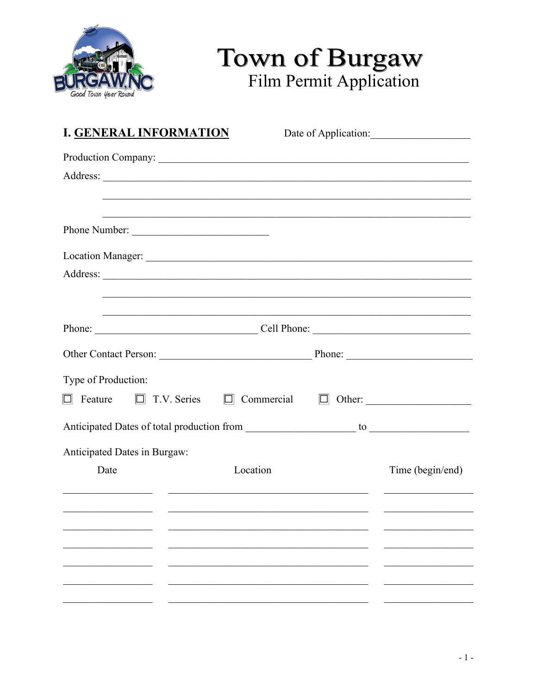

## Town of Burgaw<br>Film Permit Application

| <b>I. GENERAL INFORMATION</b> |                                                                  | Date of Application: |
|-------------------------------|------------------------------------------------------------------|----------------------|
|                               | Production Company:                                              |                      |
|                               |                                                                  |                      |
|                               | <u> 1989 - Paris III, martin Amerikaansk politiker (d. 1989)</u> |                      |
| Phone Number:                 |                                                                  |                      |
|                               |                                                                  |                      |
|                               |                                                                  |                      |
|                               |                                                                  |                      |
|                               | Phone: Cell Phone:                                               |                      |
|                               |                                                                  |                      |
| Type of Production:           |                                                                  |                      |
|                               | $\Box$ Feature $\Box$ T.V. Series $\Box$ Commercial              |                      |
|                               |                                                                  |                      |
| Anticipated Dates in Burgaw:  |                                                                  |                      |
| Date                          | Location                                                         | Time (begin/end)     |
|                               |                                                                  |                      |
|                               |                                                                  |                      |
|                               |                                                                  |                      |
|                               |                                                                  |                      |
|                               |                                                                  |                      |
|                               |                                                                  |                      |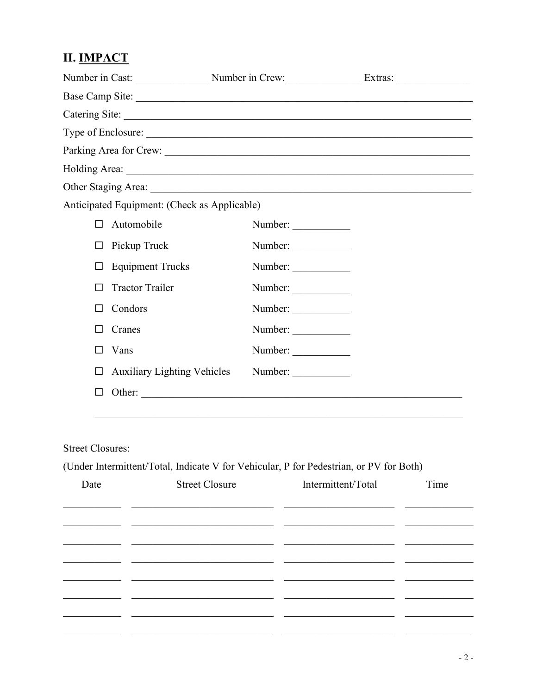## **II. IMPACT**

| Number in Cast: Number in Crew: Extras: Extras:                                                                                                                                                                                |         |  |
|--------------------------------------------------------------------------------------------------------------------------------------------------------------------------------------------------------------------------------|---------|--|
| Base Camp Site: 2008. Camp Site: 2008. Camp Site: 2008. Camp Site: 2008. Camp Site: 2008. Camp Site: 2008. Camp Site: 2008. Camp Site: 2008. Camp Site: 2008. Camp Site: 2008. Camp Site: 2008. Camp Site: 2008. Camp Site: 20 |         |  |
|                                                                                                                                                                                                                                |         |  |
|                                                                                                                                                                                                                                |         |  |
|                                                                                                                                                                                                                                |         |  |
|                                                                                                                                                                                                                                |         |  |
|                                                                                                                                                                                                                                |         |  |
| Anticipated Equipment: (Check as Applicable)                                                                                                                                                                                   |         |  |
| Automobile<br>П                                                                                                                                                                                                                | Number: |  |
| Pickup Truck<br>П                                                                                                                                                                                                              | Number: |  |
| <b>Equipment Trucks</b><br>П                                                                                                                                                                                                   | Number: |  |
| <b>Tractor Trailer</b><br>ΙI                                                                                                                                                                                                   | Number: |  |
| Condors<br>H                                                                                                                                                                                                                   | Number: |  |
| Cranes<br>ΙI                                                                                                                                                                                                                   | Number: |  |
| Vans                                                                                                                                                                                                                           | Number: |  |
| <b>Auxiliary Lighting Vehicles</b><br>П                                                                                                                                                                                        | Number: |  |
| П                                                                                                                                                                                                                              | Other:  |  |
|                                                                                                                                                                                                                                |         |  |

## **Street Closures:**

(Under Intermittent/Total, Indicate V for Vehicular, P for Pedestrian, or PV for Both)

| Date | <b>Street Closure</b> | Intermittent/Total | Time |
|------|-----------------------|--------------------|------|
|      |                       |                    |      |
|      |                       |                    |      |
|      |                       |                    |      |
|      |                       |                    |      |
|      |                       |                    |      |
|      |                       |                    |      |
|      |                       |                    |      |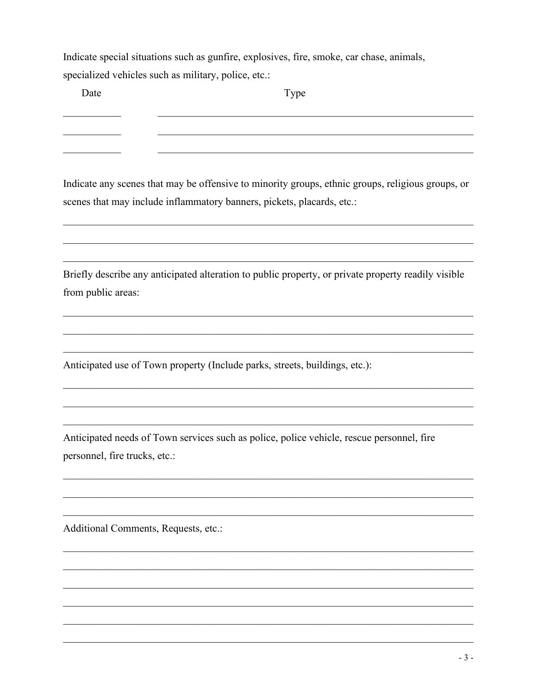Indicate special situations such as gunfire, explosives, fire, smoke, car chase, animals, specialized vehicles such as military, police, etc.:

Date

<u> 1980 - Johann Barbara, martin a</u>

Type

Indicate any scenes that may be offensive to minority groups, ethnic groups, religious groups, or scenes that may include inflammatory banners, pickets, placards, etc.:

Briefly describe any anticipated alteration to public property, or private property readily visible from public areas:

Anticipated use of Town property (Include parks, streets, buildings, etc.):

Anticipated needs of Town services such as police, police vehicle, rescue personnel, fire personnel, fire trucks, etc.:

Additional Comments, Requests, etc.: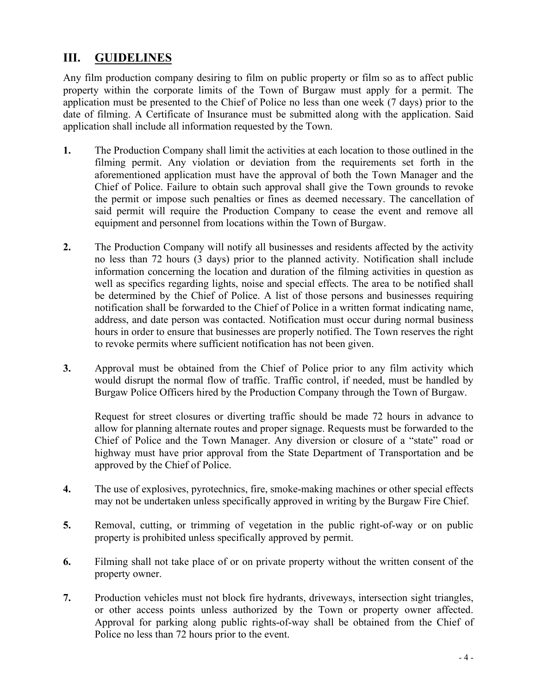## **III. GUIDELINES**

Any film production company desiring to film on public property or film so as to affect public property within the corporate limits of the Town of Burgaw must apply for a permit. The application must be presented to the Chief of Police no less than one week (7 days) prior to the date of filming. A Certificate of Insurance must be submitted along with the application. Said application shall include all information requested by the Town.

- **1.** The Production Company shall limit the activities at each location to those outlined in the filming permit. Any violation or deviation from the requirements set forth in the aforementioned application must have the approval of both the Town Manager and the Chief of Police. Failure to obtain such approval shall give the Town grounds to revoke the permit or impose such penalties or fines as deemed necessary. The cancellation of said permit will require the Production Company to cease the event and remove all equipment and personnel from locations within the Town of Burgaw.
- **2.** The Production Company will notify all businesses and residents affected by the activity no less than 72 hours (3 days) prior to the planned activity. Notification shall include information concerning the location and duration of the filming activities in question as well as specifics regarding lights, noise and special effects. The area to be notified shall be determined by the Chief of Police. A list of those persons and businesses requiring notification shall be forwarded to the Chief of Police in a written format indicating name, address, and date person was contacted. Notification must occur during normal business hours in order to ensure that businesses are properly notified. The Town reserves the right to revoke permits where sufficient notification has not been given.
- **3.** Approval must be obtained from the Chief of Police prior to any film activity which would disrupt the normal flow of traffic. Traffic control, if needed, must be handled by Burgaw Police Officers hired by the Production Company through the Town of Burgaw.

Request for street closures or diverting traffic should be made 72 hours in advance to allow for planning alternate routes and proper signage. Requests must be forwarded to the Chief of Police and the Town Manager. Any diversion or closure of a "state" road or highway must have prior approval from the State Department of Transportation and be approved by the Chief of Police.

- **4.** The use of explosives, pyrotechnics, fire, smoke-making machines or other special effects may not be undertaken unless specifically approved in writing by the Burgaw Fire Chief.
- **5.** Removal, cutting, or trimming of vegetation in the public right-of-way or on public property is prohibited unless specifically approved by permit.
- **6.** Filming shall not take place of or on private property without the written consent of the property owner.
- **7.** Production vehicles must not block fire hydrants, driveways, intersection sight triangles, or other access points unless authorized by the Town or property owner affected. Approval for parking along public rights-of-way shall be obtained from the Chief of Police no less than 72 hours prior to the event.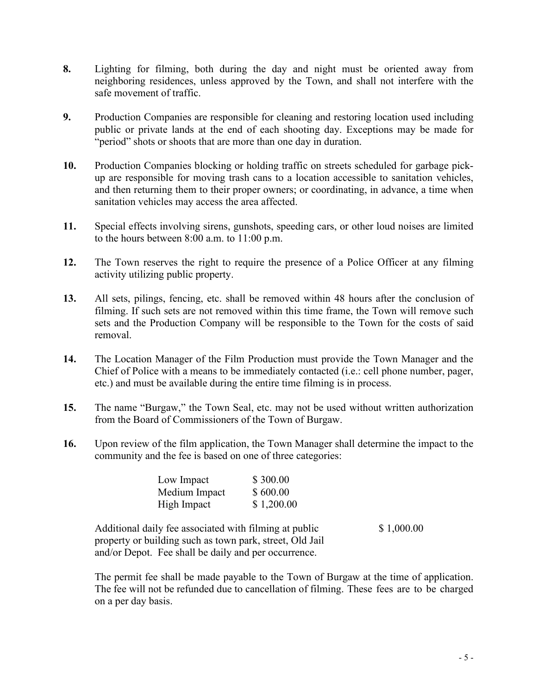- **8.** Lighting for filming, both during the day and night must be oriented away from neighboring residences, unless approved by the Town, and shall not interfere with the safe movement of traffic.
- **9.** Production Companies are responsible for cleaning and restoring location used including public or private lands at the end of each shooting day. Exceptions may be made for "period" shots or shoots that are more than one day in duration.
- **10.** Production Companies blocking or holding traffic on streets scheduled for garbage pickup are responsible for moving trash cans to a location accessible to sanitation vehicles, and then returning them to their proper owners; or coordinating, in advance, a time when sanitation vehicles may access the area affected.
- **11.** Special effects involving sirens, gunshots, speeding cars, or other loud noises are limited to the hours between 8:00 a.m. to 11:00 p.m.
- **12.** The Town reserves the right to require the presence of a Police Officer at any filming activity utilizing public property.
- **13.** All sets, pilings, fencing, etc. shall be removed within 48 hours after the conclusion of filming. If such sets are not removed within this time frame, the Town will remove such sets and the Production Company will be responsible to the Town for the costs of said removal.
- **14.** The Location Manager of the Film Production must provide the Town Manager and the Chief of Police with a means to be immediately contacted (i.e.: cell phone number, pager, etc.) and must be available during the entire time filming is in process.
- **15.** The name "Burgaw," the Town Seal, etc. may not be used without written authorization from the Board of Commissioners of the Town of Burgaw.
- **16.** Upon review of the film application, the Town Manager shall determine the impact to the community and the fee is based on one of three categories:

| Low Impact    | \$300.00   |
|---------------|------------|
| Medium Impact | \$600.00   |
| High Impact   | \$1,200.00 |

Additional daily fee associated with filming at public \$ 1,000.00 property or building such as town park, street, Old Jail and/or Depot. Fee shall be daily and per occurrence.

The permit fee shall be made payable to the Town of Burgaw at the time of application. The fee will not be refunded due to cancellation of filming. These fees are to be charged on a per day basis.